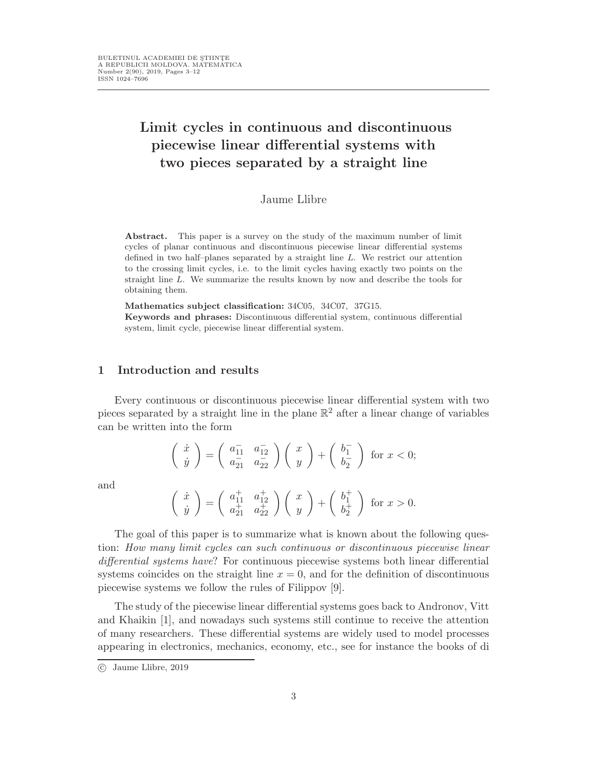# Limit cycles in continuous and discontinuous piecewise linear differential systems with two pieces separated by a straight line

Jaume Llibre

Abstract. This paper is a survey on the study of the maximum number of limit cycles of planar continuous and discontinuous piecewise linear differential systems defined in two half–planes separated by a straight line L. We restrict our attention to the crossing limit cycles, i.e. to the limit cycles having exactly two points on the straight line L. We summarize the results known by now and describe the tools for obtaining them.

Mathematics subject classification: 34C05, 34C07, 37G15.

Keywords and phrases: Discontinuous differential system, continuous differential system, limit cycle, piecewise linear differential system.

## 1 Introduction and results

Every continuous or discontinuous piecewise linear differential system with two pieces separated by a straight line in the plane  $\mathbb{R}^2$  after a linear change of variables can be written into the form

$$
\begin{pmatrix}\n\dot{x} \\
\dot{y}\n\end{pmatrix} = \begin{pmatrix}\na_{11}^- & a_{12}^- \\
a_{21}^- & a_{22}^- \end{pmatrix} \begin{pmatrix}\nx \\
y\n\end{pmatrix} + \begin{pmatrix}\nb_1^- \\
b_2^- \end{pmatrix} \text{ for } x < 0;
$$

and

$$
\left(\begin{array}{c} \dot{x}\\ \dot{y} \end{array}\right)=\left(\begin{array}{cc} a^+_{11} & a^+_{12}\\ a^+_{21} & a^+_{22} \end{array}\right)\left(\begin{array}{c} x\\ y \end{array}\right)+\left(\begin{array}{c} b^+_1\\ b^+_2 \end{array}\right)\text{ for }x>0.
$$

The goal of this paper is to summarize what is known about the following question: How many limit cycles can such continuous or discontinuous piecewise linear differential systems have? For continuous piecewise systems both linear differential systems coincides on the straight line  $x = 0$ , and for the definition of discontinuous piecewise systems we follow the rules of Filippov [9].

The study of the piecewise linear differential systems goes back to Andronov, Vitt and Khaikin [1], and nowadays such systems still continue to receive the attention of many researchers. These differential systems are widely used to model processes appearing in electronics, mechanics, economy, etc., see for instance the books of di

c Jaume Llibre, 2019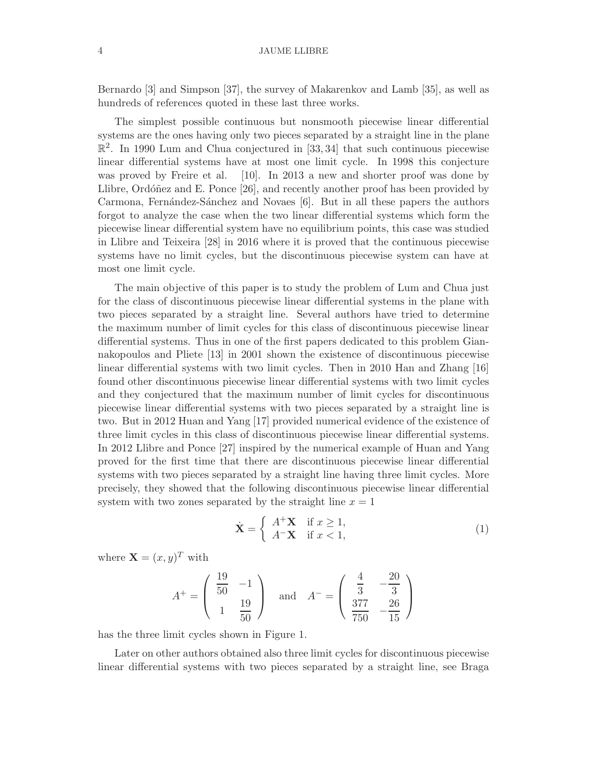#### 4 JAUME LLIBRE

Bernardo [3] and Simpson [37], the survey of Makarenkov and Lamb [35], as well as hundreds of references quoted in these last three works.

The simplest possible continuous but nonsmooth piecewise linear differential systems are the ones having only two pieces separated by a straight line in the plane  $\mathbb{R}^2$ . In 1990 Lum and Chua conjectured in [33, 34] that such continuous piecewise linear differential systems have at most one limit cycle. In 1998 this conjecture was proved by Freire et al. [10]. In 2013 a new and shorter proof was done by Llibre, Ordóñez and E. Ponce  $[26]$ , and recently another proof has been provided by Carmona, Fernández-Sánchez and Novaes [6]. But in all these papers the authors forgot to analyze the case when the two linear differential systems which form the piecewise linear differential system have no equilibrium points, this case was studied in Llibre and Teixeira [28] in 2016 where it is proved that the continuous piecewise systems have no limit cycles, but the discontinuous piecewise system can have at most one limit cycle.

The main objective of this paper is to study the problem of Lum and Chua just for the class of discontinuous piecewise linear differential systems in the plane with two pieces separated by a straight line. Several authors have tried to determine the maximum number of limit cycles for this class of discontinuous piecewise linear differential systems. Thus in one of the first papers dedicated to this problem Giannakopoulos and Pliete [13] in 2001 shown the existence of discontinuous piecewise linear differential systems with two limit cycles. Then in 2010 Han and Zhang [16] found other discontinuous piecewise linear differential systems with two limit cycles and they conjectured that the maximum number of limit cycles for discontinuous piecewise linear differential systems with two pieces separated by a straight line is two. But in 2012 Huan and Yang [17] provided numerical evidence of the existence of three limit cycles in this class of discontinuous piecewise linear differential systems. In 2012 Llibre and Ponce [27] inspired by the numerical example of Huan and Yang proved for the first time that there are discontinuous piecewise linear differential systems with two pieces separated by a straight line having three limit cycles. More precisely, they showed that the following discontinuous piecewise linear differential system with two zones separated by the straight line  $x = 1$ 

$$
\dot{\mathbf{X}} = \begin{cases} A^{+}\mathbf{X} & \text{if } x \ge 1, \\ A^{-}\mathbf{X} & \text{if } x < 1, \end{cases}
$$
 (1)

where  $\mathbf{X} = (x, y)^T$  with

$$
A^{+} = \begin{pmatrix} \frac{19}{50} & -1 \\ 1 & \frac{19}{50} \end{pmatrix} \text{ and } A^{-} = \begin{pmatrix} \frac{4}{3} & -\frac{20}{3} \\ \frac{377}{750} & -\frac{26}{15} \end{pmatrix}
$$

has the three limit cycles shown in Figure 1.

Later on other authors obtained also three limit cycles for discontinuous piecewise linear differential systems with two pieces separated by a straight line, see Braga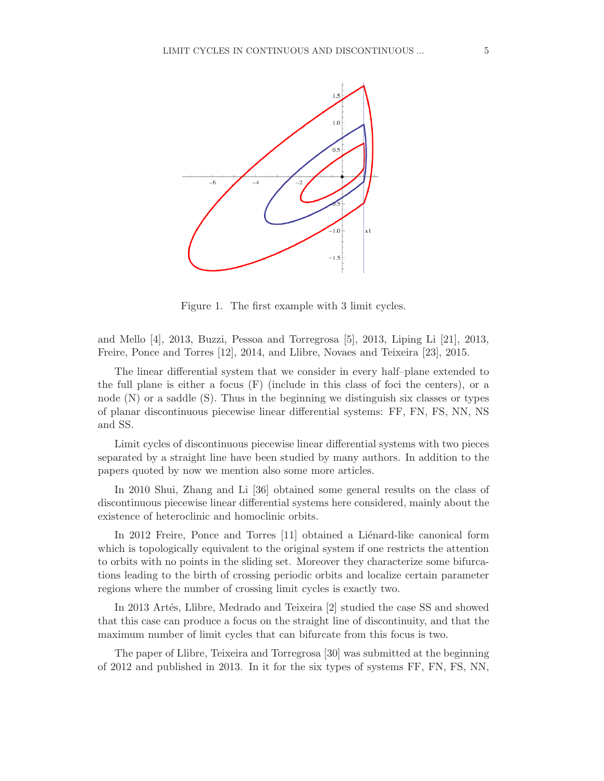

Figure 1. The first example with 3 limit cycles.

and Mello [4], 2013, Buzzi, Pessoa and Torregrosa [5], 2013, Liping Li [21], 2013, Freire, Ponce and Torres [12], 2014, and Llibre, Novaes and Teixeira [23], 2015.

The linear differential system that we consider in every half–plane extended to the full plane is either a focus (F) (include in this class of foci the centers), or a node (N) or a saddle (S). Thus in the beginning we distinguish six classes or types of planar discontinuous piecewise linear differential systems: FF, FN, FS, NN, NS and SS.

Limit cycles of discontinuous piecewise linear differential systems with two pieces separated by a straight line have been studied by many authors. In addition to the papers quoted by now we mention also some more articles.

In 2010 Shui, Zhang and Li [36] obtained some general results on the class of discontinuous piecewise linear differential systems here considered, mainly about the existence of heteroclinic and homoclinic orbits.

In 2012 Freire, Ponce and Torres [11] obtained a Liénard-like canonical form which is topologically equivalent to the original system if one restricts the attention to orbits with no points in the sliding set. Moreover they characterize some bifurcations leading to the birth of crossing periodic orbits and localize certain parameter regions where the number of crossing limit cycles is exactly two.

In 2013 Artés, Llibre, Medrado and Teixeira [2] studied the case SS and showed that this case can produce a focus on the straight line of discontinuity, and that the maximum number of limit cycles that can bifurcate from this focus is two.

The paper of Llibre, Teixeira and Torregrosa [30] was submitted at the beginning of 2012 and published in 2013. In it for the six types of systems FF, FN, FS, NN,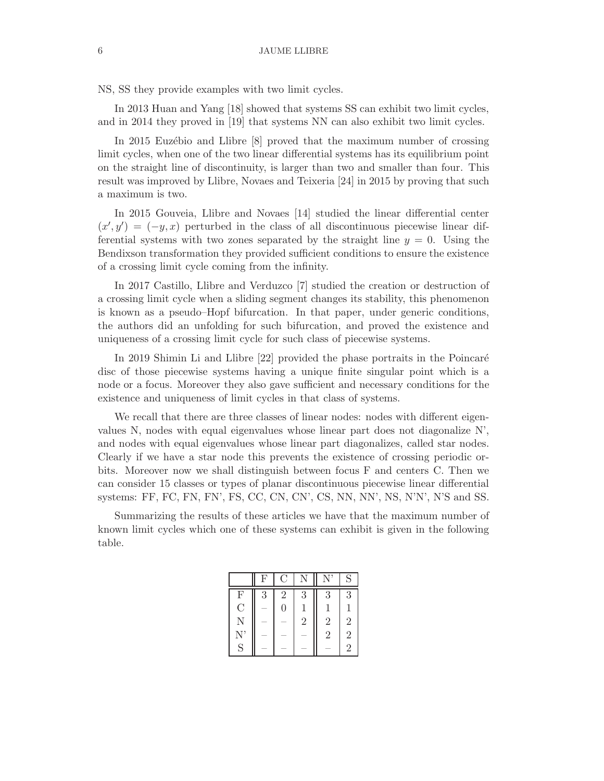NS, SS they provide examples with two limit cycles.

In 2013 Huan and Yang [18] showed that systems SS can exhibit two limit cycles, and in 2014 they proved in [19] that systems NN can also exhibit two limit cycles.

In 2015 Euzébio and Llibre [8] proved that the maximum number of crossing limit cycles, when one of the two linear differential systems has its equilibrium point on the straight line of discontinuity, is larger than two and smaller than four. This result was improved by Llibre, Novaes and Teixeria [24] in 2015 by proving that such a maximum is two.

In 2015 Gouveia, Llibre and Novaes [14] studied the linear differential center  $(x', y') = (-y, x)$  perturbed in the class of all discontinuous piecewise linear differential systems with two zones separated by the straight line  $y = 0$ . Using the Bendixson transformation they provided sufficient conditions to ensure the existence of a crossing limit cycle coming from the infinity.

In 2017 Castillo, Llibre and Verduzco [7] studied the creation or destruction of a crossing limit cycle when a sliding segment changes its stability, this phenomenon is known as a pseudo–Hopf bifurcation. In that paper, under generic conditions, the authors did an unfolding for such bifurcation, and proved the existence and uniqueness of a crossing limit cycle for such class of piecewise systems.

In 2019 Shimin Li and Llibre [22] provided the phase portraits in the Poincaré disc of those piecewise systems having a unique finite singular point which is a node or a focus. Moreover they also gave sufficient and necessary conditions for the existence and uniqueness of limit cycles in that class of systems.

We recall that there are three classes of linear nodes: nodes with different eigenvalues N, nodes with equal eigenvalues whose linear part does not diagonalize N', and nodes with equal eigenvalues whose linear part diagonalizes, called star nodes. Clearly if we have a star node this prevents the existence of crossing periodic orbits. Moreover now we shall distinguish between focus F and centers C. Then we can consider 15 classes or types of planar discontinuous piecewise linear differential systems: FF, FC, FN, FN', FS, CC, CN, CN', CS, NN, NN', NS, N'N', N'S and SS.

Summarizing the results of these articles we have that the maximum number of known limit cycles which one of these systems can exhibit is given in the following table.

|                | $\mathbf{F}$ | $\overline{C}$ |                |                | S              |
|----------------|--------------|----------------|----------------|----------------|----------------|
| F              | 3            | $\overline{2}$ | 3              | 3              | 3              |
| $\overline{C}$ |              | $\overline{0}$ |                |                |                |
| N              |              |                | $\overline{2}$ | $\overline{2}$ | $\overline{2}$ |
| $\mathbf{N}^*$ |              |                |                | $\overline{2}$ | $\overline{2}$ |
| S              |              |                |                |                | $\overline{2}$ |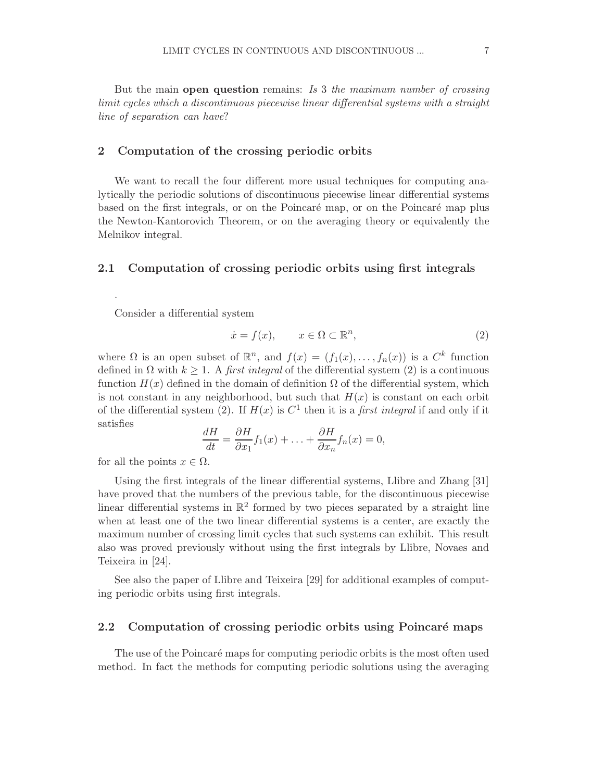But the main open question remains: Is 3 the maximum number of crossing limit cycles which a discontinuous piecewise linear differential systems with a straight line of separation can have?

## 2 Computation of the crossing periodic orbits

We want to recall the four different more usual techniques for computing analytically the periodic solutions of discontinuous piecewise linear differential systems based on the first integrals, or on the Poincaré map, or on the Poincaré map plus the Newton-Kantorovich Theorem, or on the averaging theory or equivalently the Melnikov integral.

## 2.1 Computation of crossing periodic orbits using first integrals

Consider a differential system

.

$$
\dot{x} = f(x), \qquad x \in \Omega \subset \mathbb{R}^n,\tag{2}
$$

where  $\Omega$  is an open subset of  $\mathbb{R}^n$ , and  $f(x) = (f_1(x), \ldots, f_n(x))$  is a  $C^k$  function defined in  $\Omega$  with  $k > 1$ . A first integral of the differential system (2) is a continuous function  $H(x)$  defined in the domain of definition  $\Omega$  of the differential system, which is not constant in any neighborhood, but such that  $H(x)$  is constant on each orbit of the differential system (2). If  $H(x)$  is  $C<sup>1</sup>$  then it is a *first integral* if and only if it satisfies

$$
\frac{dH}{dt} = \frac{\partial H}{\partial x_1} f_1(x) + \ldots + \frac{\partial H}{\partial x_n} f_n(x) = 0,
$$

for all the points  $x \in \Omega$ .

Using the first integrals of the linear differential systems, Llibre and Zhang [31] have proved that the numbers of the previous table, for the discontinuous piecewise linear differential systems in  $\mathbb{R}^2$  formed by two pieces separated by a straight line when at least one of the two linear differential systems is a center, are exactly the maximum number of crossing limit cycles that such systems can exhibit. This result also was proved previously without using the first integrals by Llibre, Novaes and Teixeira in [24].

See also the paper of Llibre and Teixeira [29] for additional examples of computing periodic orbits using first integrals.

#### 2.2 Computation of crossing periodic orbits using Poincaré maps

The use of the Poincaré maps for computing periodic orbits is the most often used method. In fact the methods for computing periodic solutions using the averaging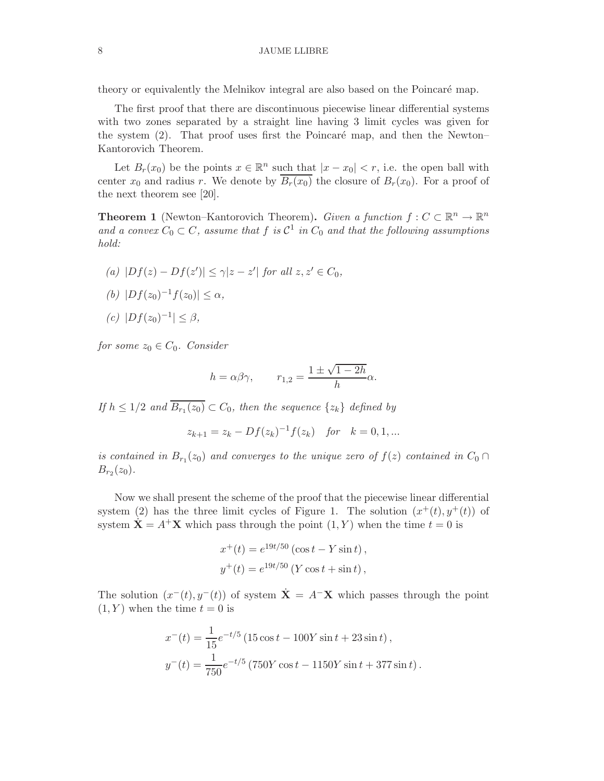theory or equivalently the Melnikov integral are also based on the Poincaré map.

The first proof that there are discontinuous piecewise linear differential systems with two zones separated by a straight line having 3 limit cycles was given for the system  $(2)$ . That proof uses first the Poincaré map, and then the Newton– Kantorovich Theorem.

Let  $B_r(x_0)$  be the points  $x \in \mathbb{R}^n$  such that  $|x - x_0| < r$ , i.e. the open ball with center  $x_0$  and radius r. We denote by  $\overline{B_r(x_0)}$  the closure of  $B_r(x_0)$ . For a proof of the next theorem see [20].

**Theorem 1** (Newton–Kantorovich Theorem). Given a function  $f: C \subset \mathbb{R}^n \to \mathbb{R}^n$ and a convex  $C_0 \subset C$ , assume that f is  $C^1$  in  $C_0$  and that the following assumptions hold:

- (a)  $|Df(z) Df(z')| \le \gamma |z z'|$  for all  $z, z' \in C_0$ , (b)  $|Df(z_0)^{-1}f(z_0)| \leq \alpha$ ,
- (c)  $|Df(z_0)^{-1}| \leq \beta,$

for some  $z_0 \in C_0$ . Consider

$$
h = \alpha \beta \gamma
$$
,  $r_{1,2} = \frac{1 \pm \sqrt{1 - 2h}}{h} \alpha$ .

If  $h \leq 1/2$  and  $B_{r_1}(z_0) \subset C_0$ , then the sequence  $\{z_k\}$  defined by

$$
z_{k+1} = z_k - Df(z_k)^{-1}f(z_k)
$$
 for  $k = 0, 1, ...$ 

is contained in  $B_{r_1}(z_0)$  and converges to the unique zero of  $f(z)$  contained in  $C_0 \cap$  $B_{r_2}(z_0)$ .

Now we shall present the scheme of the proof that the piecewise linear differential system (2) has the three limit cycles of Figure 1. The solution  $(x^+(t), y^+(t))$  of system  $\dot{\mathbf{X}} = A^{+}\mathbf{X}$  which pass through the point  $(1, Y)$  when the time  $t = 0$  is

$$
x^{+}(t) = e^{19t/50} (\cos t - Y \sin t),
$$
  

$$
y^{+}(t) = e^{19t/50} (Y \cos t + \sin t),
$$

The solution  $(x^-(t), y^-(t))$  of system  $\dot{\mathbf{X}} = A^- \mathbf{X}$  which passes through the point  $(1, Y)$  when the time  $t = 0$  is

$$
x^{-}(t) = \frac{1}{15}e^{-t/5} (15 \cos t - 100Y \sin t + 23 \sin t),
$$
  
\n
$$
y^{-}(t) = \frac{1}{750}e^{-t/5} (750Y \cos t - 1150Y \sin t + 377 \sin t).
$$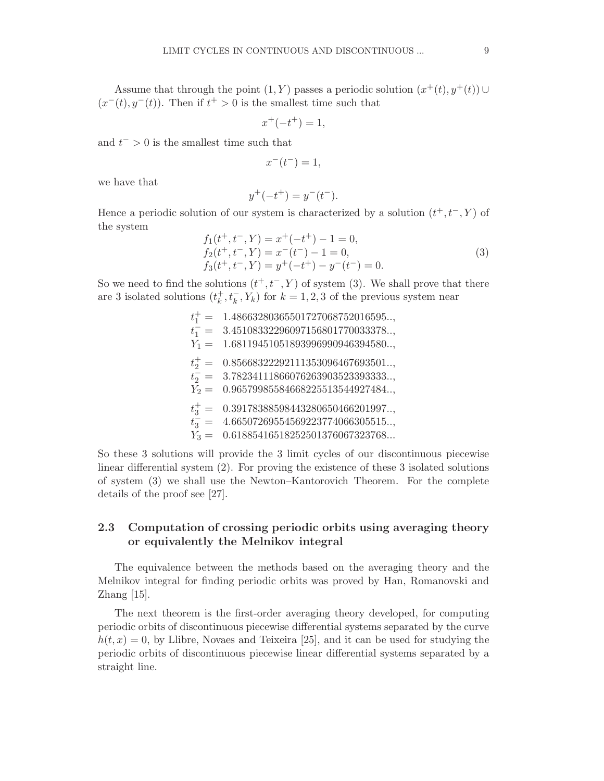Assume that through the point  $(1, Y)$  passes a periodic solution  $(x^+(t), y^+(t)) \cup$  $(x^-(t), y^-(t))$ . Then if  $t^+ > 0$  is the smallest time such that

$$
x^{+}(-t^{+})=1,
$$

and  $t^{-} > 0$  is the smallest time such that

$$
x^-(t^-) = 1,
$$

we have that

$$
y^{+}(-t^{+}) = y^{-}(t^{-}).
$$

Hence a periodic solution of our system is characterized by a solution  $(t^+, t^-, Y)$  of the system

$$
f_1(t^+, t^-, Y) = x^+(-t^+) - 1 = 0,
$$
  
\n
$$
f_2(t^+, t^-, Y) = x^-(t^-) - 1 = 0,
$$
  
\n
$$
f_3(t^+, t^-, Y) = y^+(-t^+) - y^-(t^-) = 0.
$$
\n(3)

So we need to find the solutions  $(t^+, t^-, Y)$  of system (3). We shall prove that there are 3 isolated solutions  $(t_k^+$  $k, t_k^-, Y_k$  for  $k = 1, 2, 3$  of the previous system near

> $t_1^+ = 1.48663280365501727068752016595...,$  $t_1^{\text{+}} = 3.45108332296097156801770033378...$  $Y_1 = 1.68119451051893996990946394580...,$  $t_2^+ = 0.85668322292111353096467693501...$  $t_2 = 3.78234111866076263903523393333...$  $Y_2 = 0.96579985584668225513544927484...,$  $t_3^+ = 0.39178388598443280650466201997...,$  $\frac{1}{t_3}$  = 4.66507269554569223774066305515..,  $Y_3 = 0.61885416518252501376067323768...$

So these 3 solutions will provide the 3 limit cycles of our discontinuous piecewise linear differential system (2). For proving the existence of these 3 isolated solutions of system (3) we shall use the Newton–Kantorovich Theorem. For the complete details of the proof see [27].

## 2.3 Computation of crossing periodic orbits using averaging theory or equivalently the Melnikov integral

The equivalence between the methods based on the averaging theory and the Melnikov integral for finding periodic orbits was proved by Han, Romanovski and Zhang [15].

The next theorem is the first-order averaging theory developed, for computing periodic orbits of discontinuous piecewise differential systems separated by the curve  $h(t, x) = 0$ , by Llibre, Novaes and Teixeira [25], and it can be used for studying the periodic orbits of discontinuous piecewise linear differential systems separated by a straight line.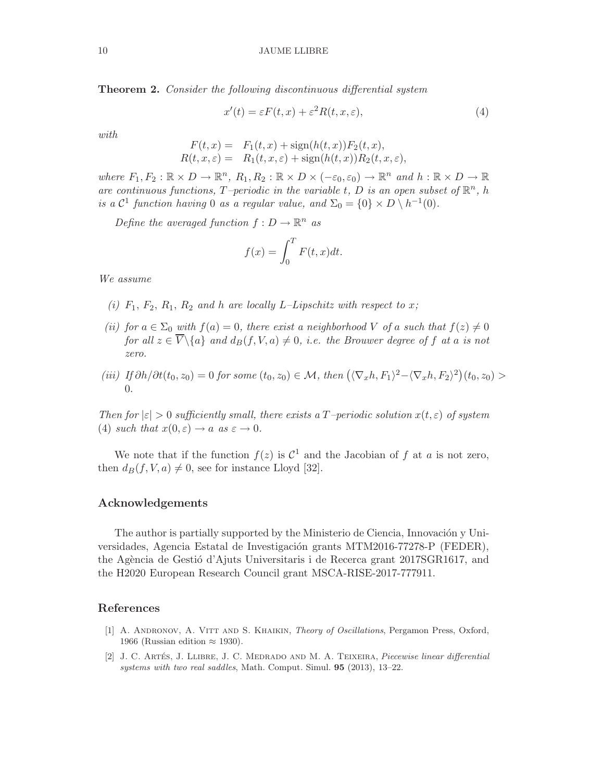Theorem 2. Consider the following discontinuous differential system

$$
x'(t) = \varepsilon F(t, x) + \varepsilon^2 R(t, x, \varepsilon),\tag{4}
$$

with

$$
F(t,x) = F_1(t,x) + sign(h(t,x))F_2(t,x),
$$
  
\n
$$
R(t,x,\varepsilon) = R_1(t,x,\varepsilon) + sign(h(t,x))R_2(t,x,\varepsilon),
$$

where  $F_1, F_2 : \mathbb{R} \times D \to \mathbb{R}^n$ ,  $R_1, R_2 : \mathbb{R} \times D \times (-\varepsilon_0, \varepsilon_0) \to \mathbb{R}^n$  and  $h : \mathbb{R} \times D \to \mathbb{R}$ are continuous functions, T-periodic in the variable t, D is an open subset of  $\mathbb{R}^n$ , h is a  $\mathcal{C}^1$  function having 0 as a regular value, and  $\Sigma_0 = \{0\} \times D \setminus h^{-1}(0)$ .

Define the averaged function  $f: D \to \mathbb{R}^n$  as

$$
f(x) = \int_0^T F(t, x) dt.
$$

We assume

- (i)  $F_1$ ,  $F_2$ ,  $R_1$ ,  $R_2$  and h are locally L-Lipschitz with respect to x;
- (ii) for  $a \in \Sigma_0$  with  $f(a) = 0$ , there exist a neighborhood V of a such that  $f(z) \neq 0$ for all  $z \in \overline{V} \backslash \{a\}$  and  $d_B(f, V, a) \neq 0$ , i.e. the Brouwer degree of f at a is not zero.
- (iii) If  $\partial h/\partial t(t_0, z_0) = 0$  for some  $(t_0, z_0) \in \mathcal{M}$ , then  $(\langle \nabla_x h, F_1 \rangle^2 \langle \nabla_x h, F_2 \rangle^2)(t_0, z_0) >$  $\Omega$ .

Then for  $|\varepsilon| > 0$  sufficiently small, there exists a T-periodic solution  $x(t, \varepsilon)$  of system (4) such that  $x(0, \varepsilon) \to a$  as  $\varepsilon \to 0$ .

We note that if the function  $f(z)$  is  $\mathcal{C}^1$  and the Jacobian of f at a is not zero, then  $d_B(f, V, a) \neq 0$ , see for instance Lloyd [32].

### Acknowledgements

The author is partially supported by the Ministerio de Ciencia, Innovación y Universidades, Agencia Estatal de Investigación grants MTM2016-77278-P (FEDER), the Agència de Gestió d'Ajuts Universitaris i de Recerca grant 2017SGR1617, and the H2020 European Research Council grant MSCA-RISE-2017-777911.

## References

- [1] A. ANDRONOV, A. VITT AND S. KHAIKIN, *Theory of Oscillations*, Pergamon Press, Oxford, 1966 (Russian edition  $\approx$  1930).
- [2] J. C. ARTÉS, J. LLIBRE, J. C. MEDRADO AND M. A. TEIXEIRA, Piecewise linear differential systems with two real saddles, Math. Comput. Simul. 95 (2013), 13–22.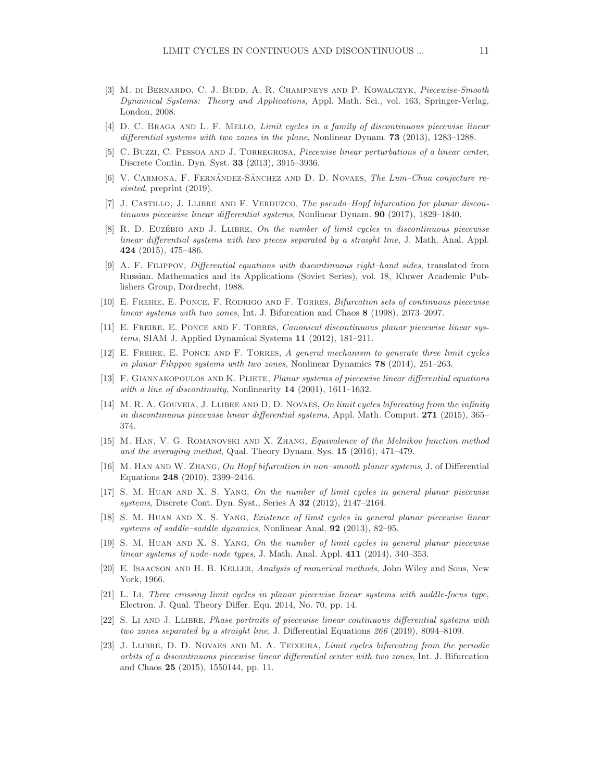- [3] M. DI BERNARDO, C. J. BUDD, A. R. CHAMPNEYS AND P. KOWALCZYK, Piecewise-Smooth Dynamical Systems: Theory and Applications, Appl. Math. Sci., vol. 163, Springer-Verlag, London, 2008.
- [4] D. C. BRAGA AND L. F. MELLO, *Limit cycles in a family of discontinuous piecewise linear* differential systems with two zones in the plane, Nonlinear Dynam. **73** (2013), 1283–1288.
- [5] C. BUZZI, C. PESSOA AND J. TORREGROSA, Piecewise linear perturbations of a linear center, Discrete Contin. Dyn. Syst. 33 (2013), 3915–3936.
- [6] V. CARMONA, F. FERNÁNDEZ-SÁNCHEZ AND D. D. NOVAES, The Lum–Chua conjecture revisited, preprint (2019).
- [7] J. CASTILLO, J. LLIBRE AND F. VERDUZCO, The pseudo–Hopf bifurcation for planar discontinuous piecewise linear differential systems, Nonlinear Dynam. 90 (2017), 1829–1840.
- [8] R. D. EUZÉBIO AND J. LLIBRE, On the number of limit cycles in discontinuous piecewise linear differential systems with two pieces separated by a straight line, J. Math. Anal. Appl. 424 (2015), 475–486.
- [9] A. F. Filippov, Differential equations with discontinuous right–hand sides, translated from Russian. Mathematics and its Applications (Soviet Series), vol. 18, Kluwer Academic Publishers Group, Dordrecht, 1988.
- [10] E. Freire, E. Ponce, F. Rodrigo and F. Torres, Bifurcation sets of continuous piecewise linear systems with two zones, Int. J. Bifurcation and Chaos 8 (1998), 2073–2097.
- [11] E. Freire, E. Ponce and F. Torres, Canonical discontinuous planar piecewise linear systems, SIAM J. Applied Dynamical Systems 11 (2012), 181–211.
- [12] E. Freire, E. Ponce and F. Torres, A general mechanism to generate three limit cycles in planar Filippov systems with two zones, Nonlinear Dynamics 78 (2014), 251–263.
- [13] F. GIANNAKOPOULOS AND K. PLIETE, *Planar systems of piecewise linear differential equations* with a line of discontinuity, Nonlinearity  $14$  (2001), 1611–1632.
- [14] M. R. A. GOUVEIA, J. LLIBRE AND D. D. NOVAES, On limit cycles bifurcating from the infinity in discontinuous piecewise linear differential systems, Appl. Math. Comput. 271 (2015), 365– 374.
- [15] M. Han, V. G. Romanovski and X. Zhang, Equivalence of the Melnikov function method and the averaging method, Qual. Theory Dynam. Sys. 15 (2016), 471–479.
- [16] M. Han and W. Zhang, On Hopf bifurcation in non–smooth planar systems, J. of Differential Equations 248 (2010), 2399–2416.
- [17] S. M. Huan and X. S. Yang, On the number of limit cycles in general planar piecewise systems, Discrete Cont. Dyn. Syst., Series A 32 (2012), 2147–2164.
- [18] S. M. Huan and X. S. Yang, Existence of limit cycles in general planar piecewise linear systems of saddle–saddle dynamics, Nonlinear Anal. 92 (2013), 82–95.
- [19] S. M. Huan and X. S. Yang, On the number of limit cycles in general planar piecewise linear systems of node–node types, J. Math. Anal. Appl. 411 (2014), 340–353.
- [20] E. Isaacson and H. B. Keller, Analysis of numerical methods, John Wiley and Sons, New York, 1966.
- [21] L. Li, Three crossing limit cycles in planar piecewise linear systems with saddle-focus type, Electron. J. Qual. Theory Differ. Equ. 2014, No. 70, pp. 14.
- [22] S. Li and J. Llibre, Phase portraits of piecewise linear continuous differential systems with two zones separated by a straight line, J. Differential Equations 266 (2019), 8094–8109.
- [23] J. LLIBRE, D. D. NOVAES AND M. A. TEIXEIRA, Limit cycles bifurcating from the periodic orbits of a discontinuous piecewise linear differential center with two zones, Int. J. Bifurcation and Chaos 25 (2015), 1550144, pp. 11.